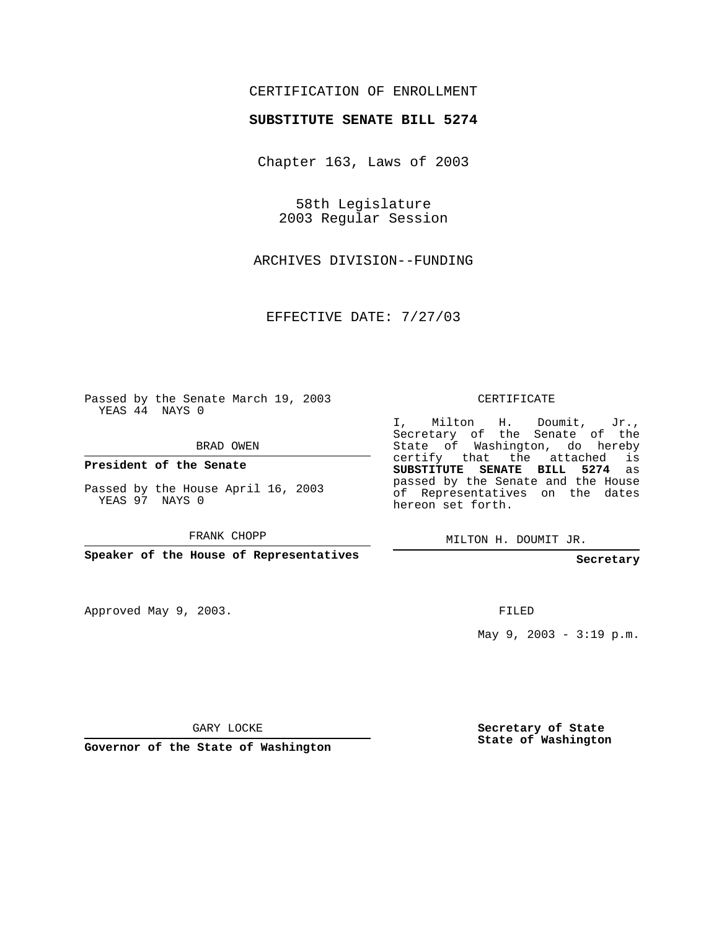## CERTIFICATION OF ENROLLMENT

## **SUBSTITUTE SENATE BILL 5274**

Chapter 163, Laws of 2003

58th Legislature 2003 Regular Session

ARCHIVES DIVISION--FUNDING

EFFECTIVE DATE: 7/27/03

Passed by the Senate March 19, 2003 YEAS 44 NAYS 0

BRAD OWEN

**President of the Senate**

Passed by the House April 16, 2003 YEAS 97 NAYS 0

FRANK CHOPP

**Speaker of the House of Representatives**

Approved May 9, 2003.

CERTIFICATE

I, Milton H. Doumit, Jr., Secretary of the Senate of the State of Washington, do hereby certify that the attached is **SUBSTITUTE SENATE BILL 5274** as passed by the Senate and the House of Representatives on the dates hereon set forth.

MILTON H. DOUMIT JR.

**Secretary**

FILED

May 9, 2003 - 3:19 p.m.

GARY LOCKE

**Governor of the State of Washington**

**Secretary of State State of Washington**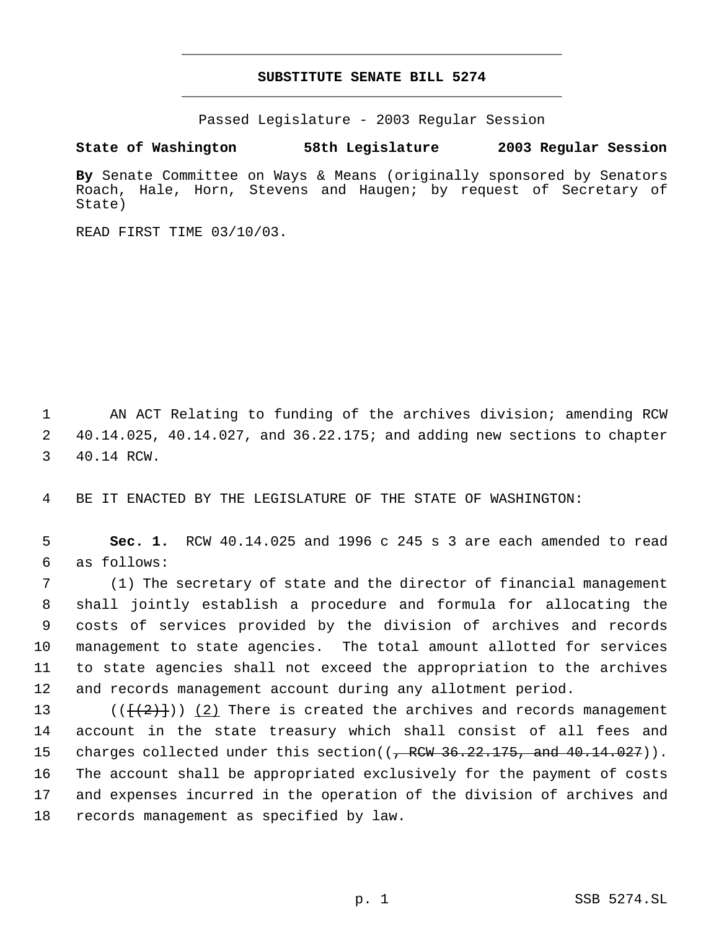## **SUBSTITUTE SENATE BILL 5274** \_\_\_\_\_\_\_\_\_\_\_\_\_\_\_\_\_\_\_\_\_\_\_\_\_\_\_\_\_\_\_\_\_\_\_\_\_\_\_\_\_\_\_\_\_

\_\_\_\_\_\_\_\_\_\_\_\_\_\_\_\_\_\_\_\_\_\_\_\_\_\_\_\_\_\_\_\_\_\_\_\_\_\_\_\_\_\_\_\_\_

Passed Legislature - 2003 Regular Session

**State of Washington 58th Legislature 2003 Regular Session**

**By** Senate Committee on Ways & Means (originally sponsored by Senators Roach, Hale, Horn, Stevens and Haugen; by request of Secretary of State)

READ FIRST TIME 03/10/03.

 1 AN ACT Relating to funding of the archives division; amending RCW 2 40.14.025, 40.14.027, and 36.22.175; and adding new sections to chapter 3 40.14 RCW.

4 BE IT ENACTED BY THE LEGISLATURE OF THE STATE OF WASHINGTON:

 5 **Sec. 1.** RCW 40.14.025 and 1996 c 245 s 3 are each amended to read 6 as follows:

 (1) The secretary of state and the director of financial management shall jointly establish a procedure and formula for allocating the costs of services provided by the division of archives and records management to state agencies. The total amount allotted for services to state agencies shall not exceed the appropriation to the archives and records management account during any allotment period.

13 ( $(\{\{2\}\})$  (2) There is created the archives and records management account in the state treasury which shall consist of all fees and 15 charges collected under this section((<del>, RCW 36.22.175, and 40.14.027</del>)). The account shall be appropriated exclusively for the payment of costs and expenses incurred in the operation of the division of archives and records management as specified by law.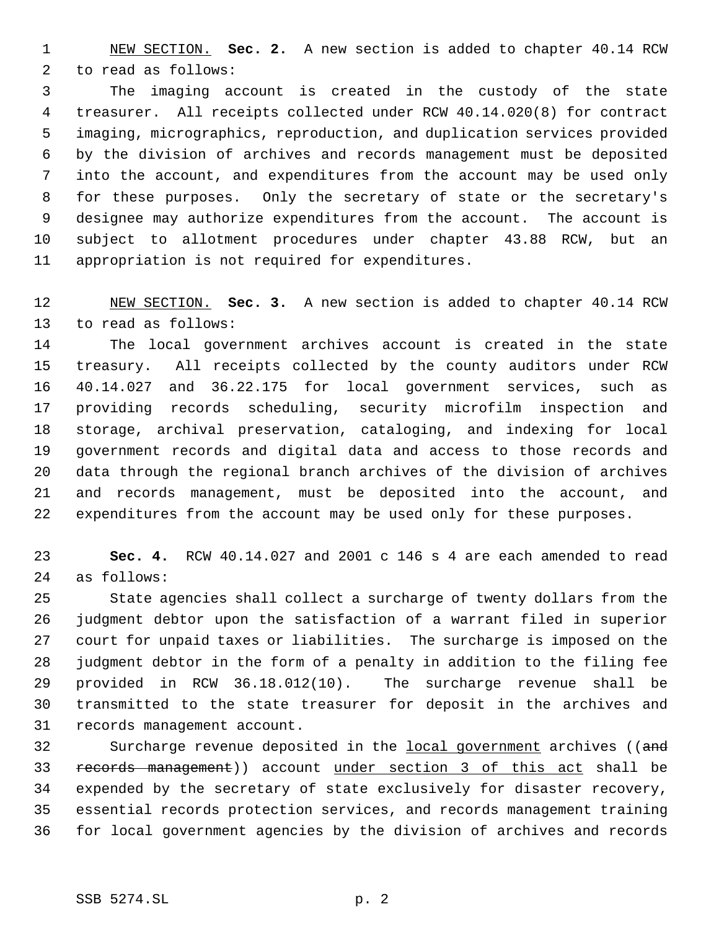NEW SECTION. **Sec. 2.** A new section is added to chapter 40.14 RCW to read as follows:

 The imaging account is created in the custody of the state treasurer. All receipts collected under RCW 40.14.020(8) for contract imaging, micrographics, reproduction, and duplication services provided by the division of archives and records management must be deposited into the account, and expenditures from the account may be used only for these purposes. Only the secretary of state or the secretary's designee may authorize expenditures from the account. The account is subject to allotment procedures under chapter 43.88 RCW, but an appropriation is not required for expenditures.

 NEW SECTION. **Sec. 3.** A new section is added to chapter 40.14 RCW to read as follows:

 The local government archives account is created in the state treasury. All receipts collected by the county auditors under RCW 40.14.027 and 36.22.175 for local government services, such as providing records scheduling, security microfilm inspection and storage, archival preservation, cataloging, and indexing for local government records and digital data and access to those records and data through the regional branch archives of the division of archives and records management, must be deposited into the account, and expenditures from the account may be used only for these purposes.

 **Sec. 4.** RCW 40.14.027 and 2001 c 146 s 4 are each amended to read as follows:

 State agencies shall collect a surcharge of twenty dollars from the judgment debtor upon the satisfaction of a warrant filed in superior court for unpaid taxes or liabilities. The surcharge is imposed on the judgment debtor in the form of a penalty in addition to the filing fee provided in RCW 36.18.012(10). The surcharge revenue shall be transmitted to the state treasurer for deposit in the archives and records management account.

32 Surcharge revenue deposited in the local government archives ((and records management)) account under section 3 of this act shall be expended by the secretary of state exclusively for disaster recovery, essential records protection services, and records management training for local government agencies by the division of archives and records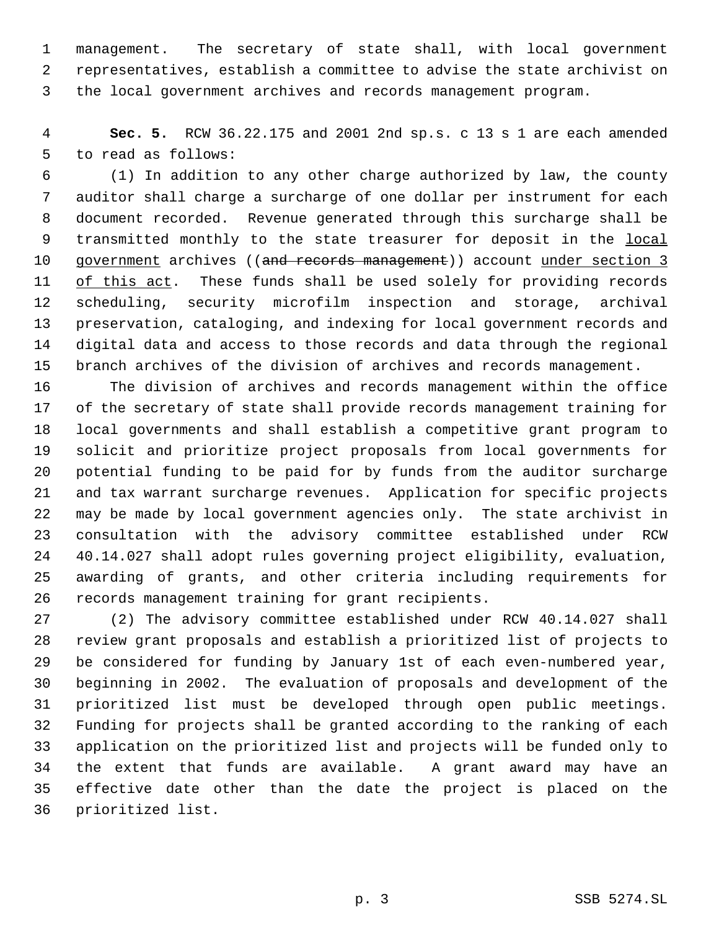management. The secretary of state shall, with local government representatives, establish a committee to advise the state archivist on the local government archives and records management program.

 **Sec. 5.** RCW 36.22.175 and 2001 2nd sp.s. c 13 s 1 are each amended to read as follows:

 (1) In addition to any other charge authorized by law, the county auditor shall charge a surcharge of one dollar per instrument for each document recorded. Revenue generated through this surcharge shall be transmitted monthly to the state treasurer for deposit in the local 10 government archives ((and records management)) account under section 3 11 of this act. These funds shall be used solely for providing records scheduling, security microfilm inspection and storage, archival preservation, cataloging, and indexing for local government records and digital data and access to those records and data through the regional branch archives of the division of archives and records management.

 The division of archives and records management within the office of the secretary of state shall provide records management training for local governments and shall establish a competitive grant program to solicit and prioritize project proposals from local governments for potential funding to be paid for by funds from the auditor surcharge and tax warrant surcharge revenues. Application for specific projects may be made by local government agencies only. The state archivist in consultation with the advisory committee established under RCW 40.14.027 shall adopt rules governing project eligibility, evaluation, awarding of grants, and other criteria including requirements for records management training for grant recipients.

 (2) The advisory committee established under RCW 40.14.027 shall review grant proposals and establish a prioritized list of projects to be considered for funding by January 1st of each even-numbered year, beginning in 2002. The evaluation of proposals and development of the prioritized list must be developed through open public meetings. Funding for projects shall be granted according to the ranking of each application on the prioritized list and projects will be funded only to the extent that funds are available. A grant award may have an effective date other than the date the project is placed on the prioritized list.